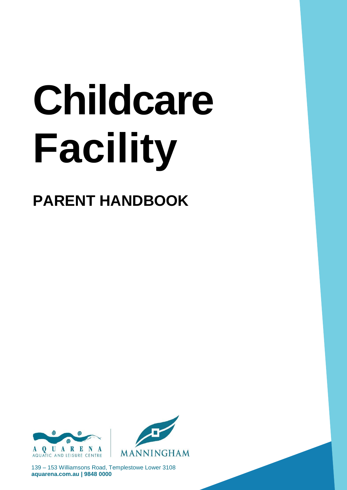# Childcare **Facility**

## **PARENT HANDBOOK**





139 - 153 Williamsons Road, Templestowe Lower 3108 aquarena.com.au | 9848 0000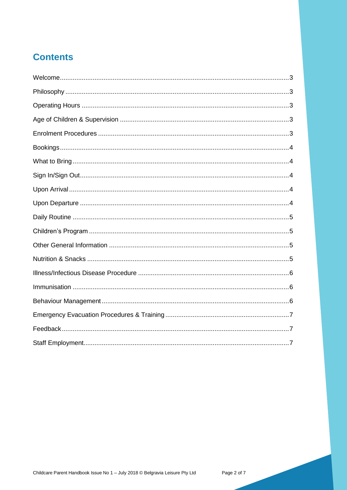### **Contents**

<span id="page-1-0"></span>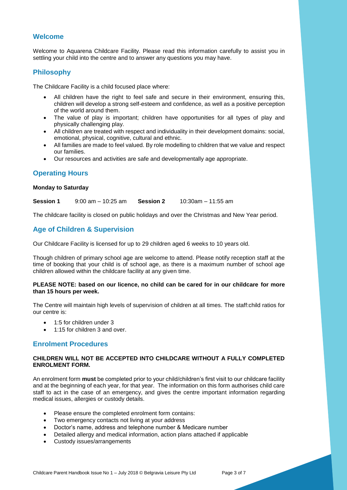#### **Welcome**

Welcome to Aquarena Childcare Facility. Please read this information carefully to assist you in settling your child into the centre and to answer any questions you may have.

#### <span id="page-2-0"></span>**Philosophy**

The Childcare Facility is a child focused place where:

- All children have the right to feel safe and secure in their environment, ensuring this, children will develop a strong self-esteem and confidence, as well as a positive perception of the world around them.
- The value of play is important; children have opportunities for all types of play and physically challenging play.
- All children are treated with respect and individuality in their development domains: social, emotional, physical, cognitive, cultural and ethnic.
- All families are made to feel valued. By role modelling to children that we value and respect our families.
- Our resources and activities are safe and developmentally age appropriate.

#### <span id="page-2-1"></span>**Operating Hours**

#### **Monday to Saturday**

**Session 1** 9:00 am – 10:25 am **Session 2** 10:30am – 11:55 am

<span id="page-2-2"></span>The childcare facility is closed on public holidays and over the Christmas and New Year period.

#### **Age of Children & Supervision**

Our Childcare Facility is licensed for up to 29 children aged 6 weeks to 10 years old.

Though children of primary school age are welcome to attend. Please notify reception staff at the time of booking that your child is of school age, as there is a maximum number of school age children allowed within the childcare facility at any given time.

#### **PLEASE NOTE: based on our licence, no child can be cared for in our childcare for more than 15 hours per week.**

The Centre will maintain high levels of supervision of children at all times. The staff:child ratios for our centre is:

- 1:5 for children under 3
- 1:15 for children 3 and over

#### <span id="page-2-3"></span>**Enrolment Procedures**

#### **CHILDREN WILL NOT BE ACCEPTED INTO CHILDCARE WITHOUT A FULLY COMPLETED ENROLMENT FORM.**

An enrolment form **must** be completed prior to your child/children's first visit to our childcare facility and at the beginning of each year, for that year. The information on this form authorises child care staff to act in the case of an emergency, and gives the centre important information regarding medical issues, allergies or custody details.

- Please ensure the completed enrolment form contains:
- Two emergency contacts not living at your address
- Doctor's name, address and telephone number & Medicare number
- Detailed allergy and medical information, action plans attached if applicable
- Custody issues/arrangements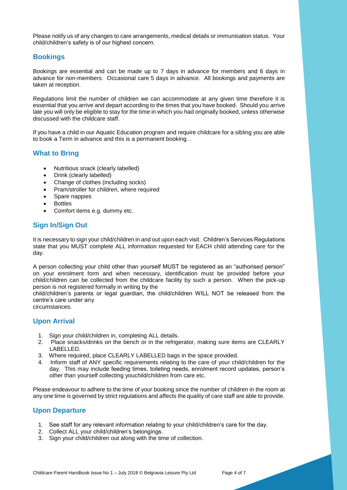Please notify us of any changes to care arrangements, medical details or immunisation status. Your child/children's safety is of our highest concern.

#### <span id="page-3-0"></span>**Bookings**

Bookings are essential and can be made up to 7 days in advance for members and 6 days in advance for non-members. Occasional care 5 days in advance. All bookings and payments are taken at reception.

Regulations limit the number of children we can accommodate at any given time therefore it is essential that you arrive and depart according to the times that you have booked. Should you arrive late you will only be eligible to stay for the time in which you had originally booked, unless otherwise discussed with the childcare staff.

If you have a child in our Aquatic Education program and require childcare for a sibling you are able to book a Term in advance and this is a permanent booking. .

#### <span id="page-3-1"></span>**What to Bring**

- Nutritious snack (clearly labelled)
- Drink (clearly labelled)
- Change of clothes (including socks)
- Pram/stroller for children, where required
- Spare nappies
- Bottles
- Comfort items e.g. dummy etc.

#### <span id="page-3-2"></span>**Sign In/Sign Out**

It is necessary to sign your child/children in and out upon each visit. Children's Services Regulations state that you MUST complete ALL information requested for EACH child attending care for the day.

A person collecting your child other than yourself MUST be registered as an "authorised person" on your enrolment form and when necessary, identification must be provided before your child/children can be collected from the childcare facility by such a person. When the pick-up person is not registered formally in writing by the

child/children's parents or legal guardian, the child/children WILL NOT be released from the centre's care under any circumstances.

#### <span id="page-3-3"></span>**Upon Arrival**

- 1. Sign your child/children in, completing ALL details.
- 2. Place snacks/drinks on the bench or in the refrigerator, making sure items are CLEARLY LABELLED.
- 3. Where required, place CLEARLY LABELLED bags in the space provided.
- 4. Inform staff of ANY specific requirements relating to the care of your child/children for the day. This may include feeding times, toileting needs, enrolment record updates, person's other than yourself collecting youchild/children from care etc.

Please endeavour to adhere to the time of your booking since the number of children in the room at any one time is governed by strict regulations and affects the quality of care staff are able to provide.

#### <span id="page-3-4"></span>**Upon Departure**

- 1. See staff for any relevant information relating to your child/children's care for the day.
- 2. Collect ALL your child/children's belongings.
- 3. Sign your child/children out along with the time of collection.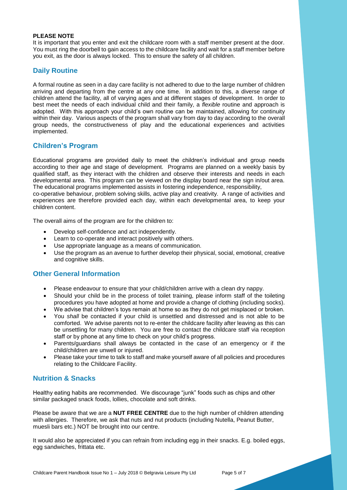#### **PLEASE NOTE**

It is important that you enter and exit the childcare room with a staff member present at the door. You must ring the doorbell to gain access to the childcare facility and wait for a staff member before you exit, as the door is always locked. This to ensure the safety of all children.

#### <span id="page-4-0"></span>**Daily Routine**

A formal routine as seen in a day care facility is not adhered to due to the large number of children arriving and departing from the centre at any one time. In addition to this, a diverse range of children attend the facility, all of varying ages and at different stages of development. In order to best meet the needs of each individual child and their family, a *flexible* routine and approach is adopted. With this approach your child's own routine can be maintained, allowing for continuity within their day. Various aspects of the program shall vary from day to day according to the overall group needs, the constructiveness of play and the educational experiences and activities implemented.

#### <span id="page-4-1"></span>**Children's Program**

Educational programs are provided daily to meet the children's individual and group needs according to their age and stage of development. Programs are planned on a weekly basis by qualified staff, as they interact with the children and observe their interests and needs in each developmental area. This program can be viewed on the display board near the sign in/out area. The educational programs implemented assists in fostering independence, responsibility,

co-operative behaviour, problem solving skills, active play and creativity. A range of activities and experiences are therefore provided each day, within each developmental area, to keep your children content.

The overall aims of the program are for the children to:

- Develop self-confidence and act independently.
- Learn to co-operate and interact positively with others.
- Use appropriate language as a means of communication.
- Use the program as an avenue to further develop their physical, social, emotional, creative and cognitive skills.

#### <span id="page-4-2"></span>**Other General Information**

- Please endeavour to ensure that your child/children arrive with a clean dry nappy.
- Should your child be in the process of toilet training, please inform staff of the toileting procedures you have adopted at home and provide a change of clothing (including socks).
- We advise that children's toys remain at home so as they do not get misplaced or broken.
- You *shall* be contacted if your child is unsettled and distressed and is not able to be comforted. We advise parents not to re-enter the childcare facility after leaving as this can be unsettling for many children. You are free to contact the childcare staff via reception staff or by phone at any time to check on your child's progress.
- Parents/guardians shall always be contacted in the case of an emergency or if the child/children are unwell or injured.
- Please take your time to talk to staff and make yourself aware of all policies and procedures relating to the Childcare Facility.

#### <span id="page-4-3"></span>**Nutrition & Snacks**

Healthy eating habits are recommended. We discourage "junk" foods such as chips and other similar packaged snack foods, lollies, chocolate and soft drinks.

Please be aware that we are a **NUT FREE CENTRE** due to the high number of children attending with allergies. Therefore, we ask that nuts and nut products (including Nutella, Peanut Butter, muesli bars etc.) NOT be brought into our centre.

It would also be appreciated if you can refrain from including egg in their snacks. E.g. boiled eggs, egg sandwiches, frittata etc.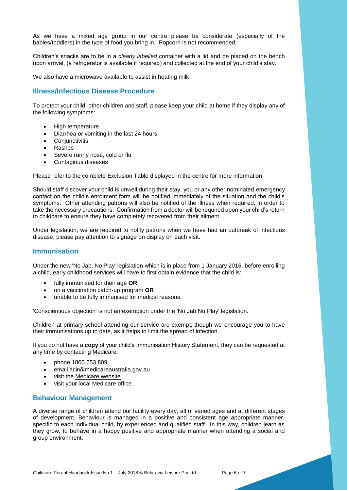As we have a mixed age group in our centre please be considerate (especially of the babies/toddlers) in the type of food you bring in. Popcorn is not recommended.

Children's snacks are to be in a *clearly labelled* container with a lid and be placed on the bench upon arrival, (a refrigerator is available if required) and collected at the end of your child's stay.

<span id="page-5-0"></span>We also have a microwave available to assist in heating milk.

#### **Illness/Infectious Disease Procedure**

To protect your child, other children and staff, please keep your child at home if they display any of the following symptoms:

- High temperature
- Diarrhea or vomiting in the last 24 hours
- Conjunctivitis
- Rashes
- Severe runny nose, cold or flu
- Contagious diseases

Please refer to the complete Exclusion Table displayed in the centre for more information.

Should staff discover your child is unwell during their stay, you or any other nominated emergency contact on the child's enrolment form will be notified immediately of the situation and the child's symptoms. Other attending patrons will also be notified of the illness when required, in order to take the necessary precautions. Confirmation from a doctor will be required upon your child's return to childcare to ensure they have completely recovered from their ailment.

Under legislation, we are required to notify patrons when we have had an outbreak of infectious disease, please pay attention to signage on display on each visit.

#### <span id="page-5-1"></span>**Immunisation**

Under the new 'No Jab, No Play' legislation which is in place from 1 January 2016, before enrolling a child, early childhood services will have to first obtain evidence that the child is:

- fully immunised for their age **OR**
- on a vaccination catch-up program **OR**
- unable to be fully immunised for medical reasons.

'Conscientious objection' is not an exemption under the 'No Jab No Play' legislation.

Children at primary school attending our service are exempt, though we encourage you to have their immunisations up to date, as it helps to limit the spread of infection.

If you do not have a **copy** of your child's Immunisation History Statement, they can be requested at any time by contacting Medicare:

- phone 1800 653 809
- email acir@medicareaustralia.gov.au
- visit the Medicare website
- visit your local Medicare office.

#### <span id="page-5-2"></span>**Behaviour Management**

A diverse range of children attend our facility every day, all of varied ages and at different stages of development. Behaviour is managed in a positive and consistent age appropriate manner, specific to each individual child, by experienced and qualified staff. In this way, children learn as they grow, to behave in a happy positive and appropriate manner when attending a social and group environment.